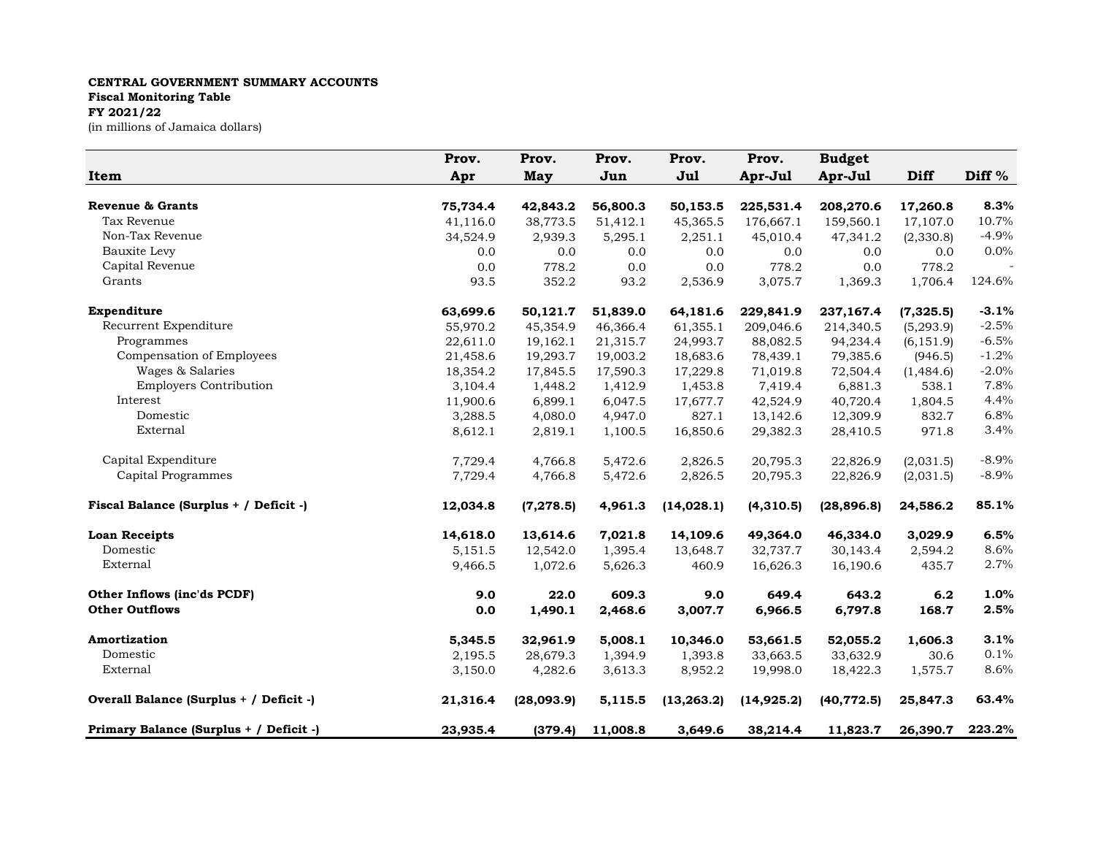## **CENTRAL GOVERNMENT SUMMARY ACCOUNTS Fiscal Monitoring Table FY 2021/22**

(in millions of Jamaica dollars)

|                                         | Prov.    | Prov.      | Prov.    | Prov.       | Prov.       | <b>Budget</b> |             |                   |
|-----------------------------------------|----------|------------|----------|-------------|-------------|---------------|-------------|-------------------|
| Item                                    | Apr      | May        | Jun      | Jul         | Apr-Jul     | Apr-Jul       | <b>Diff</b> | Diff <sup>%</sup> |
|                                         |          |            |          |             |             |               |             |                   |
| <b>Revenue &amp; Grants</b>             | 75,734.4 | 42,843.2   | 56,800.3 | 50,153.5    | 225,531.4   | 208,270.6     | 17,260.8    | 8.3%              |
| Tax Revenue                             | 41,116.0 | 38,773.5   | 51,412.1 | 45,365.5    | 176,667.1   | 159,560.1     | 17,107.0    | 10.7%             |
| Non-Tax Revenue                         | 34,524.9 | 2,939.3    | 5,295.1  | 2,251.1     | 45,010.4    | 47,341.2      | (2,330.8)   | $-4.9%$           |
| Bauxite Levy                            | 0.0      | 0.0        | 0.0      | 0.0         | 0.0         | 0.0           | 0.0         | $0.0\%$           |
| Capital Revenue                         | 0.0      | 778.2      | 0.0      | 0.0         | 778.2       | 0.0           | 778.2       |                   |
| Grants                                  | 93.5     | 352.2      | 93.2     | 2,536.9     | 3,075.7     | 1,369.3       | 1,706.4     | 124.6%            |
| Expenditure                             | 63,699.6 | 50,121.7   | 51,839.0 | 64,181.6    | 229,841.9   | 237,167.4     | (7, 325.5)  | $-3.1%$           |
| Recurrent Expenditure                   | 55,970.2 | 45,354.9   | 46,366.4 | 61,355.1    | 209,046.6   | 214,340.5     | (5,293.9)   | $-2.5%$           |
| Programmes                              | 22,611.0 | 19,162.1   | 21,315.7 | 24,993.7    | 88,082.5    | 94,234.4      | (6, 151.9)  | $-6.5%$           |
| Compensation of Employees               | 21,458.6 | 19,293.7   | 19,003.2 | 18,683.6    | 78,439.1    | 79,385.6      | (946.5)     | $-1.2%$           |
| Wages & Salaries                        | 18,354.2 | 17,845.5   | 17,590.3 | 17,229.8    | 71,019.8    | 72,504.4      | (1,484.6)   | $-2.0%$           |
| <b>Employers Contribution</b>           | 3,104.4  | 1,448.2    | 1,412.9  | 1,453.8     | 7,419.4     | 6,881.3       | 538.1       | 7.8%              |
| Interest                                | 11,900.6 | 6,899.1    | 6,047.5  | 17,677.7    | 42,524.9    | 40,720.4      | 1,804.5     | 4.4%              |
| Domestic                                | 3,288.5  | 4,080.0    | 4,947.0  | 827.1       | 13,142.6    | 12,309.9      | 832.7       | 6.8%              |
| External                                | 8,612.1  | 2,819.1    | 1,100.5  | 16,850.6    | 29,382.3    | 28,410.5      | 971.8       | 3.4%              |
| Capital Expenditure                     | 7,729.4  | 4,766.8    | 5,472.6  | 2,826.5     | 20,795.3    | 22,826.9      | (2,031.5)   | $-8.9\%$          |
| Capital Programmes                      | 7,729.4  | 4,766.8    | 5,472.6  | 2,826.5     | 20,795.3    | 22,826.9      | (2,031.5)   | $-8.9%$           |
| Fiscal Balance (Surplus + / Deficit -)  | 12,034.8 | (7, 278.5) | 4,961.3  | (14, 028.1) | (4,310.5)   | (28, 896.8)   | 24,586.2    | 85.1%             |
| <b>Loan Receipts</b>                    | 14,618.0 | 13,614.6   | 7,021.8  | 14,109.6    | 49,364.0    | 46,334.0      | 3,029.9     | 6.5%              |
| Domestic                                | 5,151.5  | 12,542.0   | 1,395.4  | 13,648.7    | 32,737.7    | 30,143.4      | 2,594.2     | 8.6%              |
| External                                | 9,466.5  | 1,072.6    | 5,626.3  | 460.9       | 16,626.3    | 16,190.6      | 435.7       | 2.7%              |
| Other Inflows (inc'ds PCDF)             | 9.0      | 22.0       | 609.3    | 9.0         | 649.4       | 643.2         | 6.2         | 1.0%              |
| <b>Other Outflows</b>                   | 0.0      | 1,490.1    | 2,468.6  | 3,007.7     | 6,966.5     | 6,797.8       | 168.7       | 2.5%              |
| Amortization                            | 5,345.5  | 32,961.9   | 5,008.1  | 10,346.0    | 53,661.5    | 52,055.2      | 1,606.3     | 3.1%              |
| Domestic                                | 2,195.5  | 28,679.3   | 1,394.9  | 1,393.8     | 33,663.5    | 33,632.9      | 30.6        | 0.1%              |
| External                                | 3,150.0  | 4,282.6    | 3,613.3  | 8,952.2     | 19,998.0    | 18,422.3      | 1,575.7     | 8.6%              |
| Overall Balance (Surplus + / Deficit -) | 21,316.4 | (28,093.9) | 5,115.5  | (13, 263.2) | (14, 925.2) | (40, 772.5)   | 25,847.3    | 63.4%             |
| Primary Balance (Surplus + / Deficit -) | 23,935.4 | (379.4)    | 11,008.8 | 3,649.6     | 38,214.4    | 11,823.7      | 26,390.7    | 223.2%            |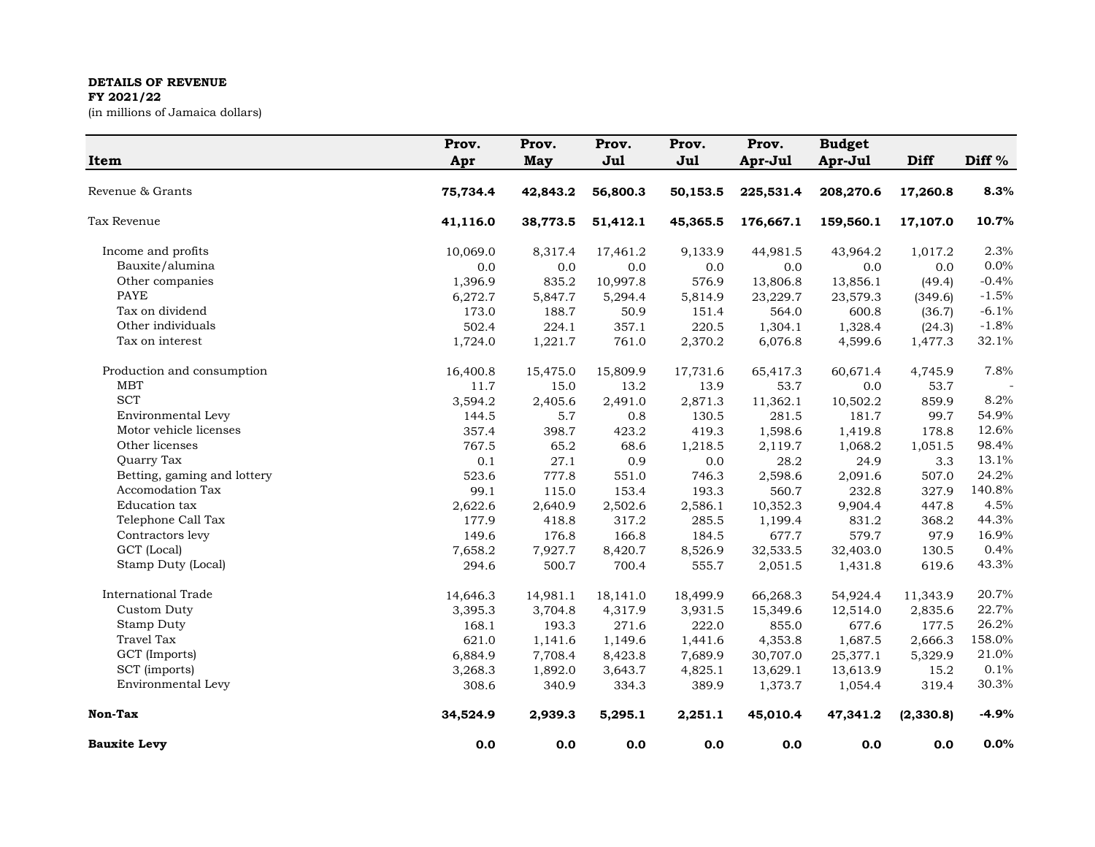## **DETAILS OF REVENUE**

## **FY 2021/22**

(in millions of Jamaica dollars)

| Item                        | Prov.<br>Apr | Prov.<br><b>May</b> | Prov.<br>Jul | Prov.<br>Jul | Prov.<br>Apr-Jul | <b>Budget</b><br>Apr-Jul | Diff      | Diff <sup>%</sup> |
|-----------------------------|--------------|---------------------|--------------|--------------|------------------|--------------------------|-----------|-------------------|
|                             |              |                     |              |              |                  |                          |           |                   |
| Revenue & Grants            | 75,734.4     | 42,843.2            | 56,800.3     | 50,153.5     | 225,531.4        | 208,270.6                | 17,260.8  | 8.3%              |
| Tax Revenue                 | 41,116.0     | 38,773.5            | 51,412.1     | 45,365.5     | 176,667.1        | 159,560.1                | 17,107.0  | 10.7%             |
| Income and profits          | 10,069.0     | 8,317.4             | 17,461.2     | 9,133.9      | 44,981.5         | 43,964.2                 | 1,017.2   | 2.3%              |
| Bauxite/alumina             | 0.0          | 0.0                 | 0.0          | 0.0          | 0.0              | 0.0                      | 0.0       | 0.0%              |
| Other companies             | 1,396.9      | 835.2               | 10,997.8     | 576.9        | 13,806.8         | 13,856.1                 | (49.4)    | $-0.4%$           |
| <b>PAYE</b>                 | 6,272.7      | 5,847.7             | 5,294.4      | 5,814.9      | 23,229.7         | 23,579.3                 | (349.6)   | $-1.5%$           |
| Tax on dividend             | 173.0        | 188.7               | 50.9         | 151.4        | 564.0            | 600.8                    | (36.7)    | $-6.1%$           |
| Other individuals           | 502.4        | 224.1               | 357.1        | 220.5        | 1,304.1          | 1,328.4                  | (24.3)    | $-1.8%$           |
| Tax on interest             | 1,724.0      | 1,221.7             | 761.0        | 2,370.2      | 6,076.8          | 4,599.6                  | 1,477.3   | 32.1%             |
| Production and consumption  | 16,400.8     | 15,475.0            | 15,809.9     | 17,731.6     | 65,417.3         | 60,671.4                 | 4,745.9   | 7.8%              |
| <b>MBT</b>                  | 11.7         | 15.0                | 13.2         | 13.9         | 53.7             | 0.0                      | 53.7      |                   |
| <b>SCT</b>                  | 3,594.2      | 2,405.6             | 2,491.0      | 2,871.3      | 11,362.1         | 10,502.2                 | 859.9     | 8.2%              |
| Environmental Levy          | 144.5        | 5.7                 | 0.8          | 130.5        | 281.5            | 181.7                    | 99.7      | 54.9%             |
| Motor vehicle licenses      | 357.4        | 398.7               | 423.2        | 419.3        | 1,598.6          | 1,419.8                  | 178.8     | 12.6%             |
| Other licenses              | 767.5        | 65.2                | 68.6         | 1,218.5      | 2,119.7          | 1,068.2                  | 1,051.5   | 98.4%             |
| Quarry Tax                  | 0.1          | 27.1                | 0.9          | 0.0          | 28.2             | 24.9                     | 3.3       | 13.1%             |
| Betting, gaming and lottery | 523.6        | 777.8               | 551.0        | 746.3        | 2,598.6          | 2,091.6                  | 507.0     | 24.2%             |
| Accomodation Tax            | 99.1         | 115.0               | 153.4        | 193.3        | 560.7            | 232.8                    | 327.9     | 140.8%            |
| Education tax               | 2,622.6      | 2,640.9             | 2,502.6      | 2,586.1      | 10,352.3         | 9,904.4                  | 447.8     | 4.5%              |
| Telephone Call Tax          | 177.9        | 418.8               | 317.2        | 285.5        | 1,199.4          | 831.2                    | 368.2     | 44.3%             |
| Contractors levy            | 149.6        | 176.8               | 166.8        | 184.5        | 677.7            | 579.7                    | 97.9      | 16.9%             |
| GCT (Local)                 | 7,658.2      | 7,927.7             | 8,420.7      | 8,526.9      | 32,533.5         | 32,403.0                 | 130.5     | 0.4%              |
| Stamp Duty (Local)          | 294.6        | 500.7               | 700.4        | 555.7        | 2,051.5          | 1,431.8                  | 619.6     | 43.3%             |
| <b>International Trade</b>  | 14,646.3     | 14,981.1            | 18,141.0     | 18,499.9     | 66,268.3         | 54,924.4                 | 11,343.9  | 20.7%             |
| Custom Duty                 | 3,395.3      | 3,704.8             | 4,317.9      | 3,931.5      | 15,349.6         | 12,514.0                 | 2,835.6   | 22.7%             |
| Stamp Duty                  | 168.1        | 193.3               | 271.6        | 222.0        | 855.0            | 677.6                    | 177.5     | 26.2%             |
| Travel Tax                  | 621.0        | 1,141.6             | 1,149.6      | 1,441.6      | 4,353.8          | 1,687.5                  | 2,666.3   | 158.0%            |
| GCT (Imports)               | 6,884.9      | 7,708.4             | 8,423.8      | 7,689.9      | 30,707.0         | 25,377.1                 | 5,329.9   | 21.0%             |
| SCT (imports)               | 3,268.3      | 1,892.0             | 3,643.7      | 4,825.1      | 13,629.1         | 13,613.9                 | 15.2      | 0.1%              |
| Environmental Levy          | 308.6        | 340.9               | 334.3        | 389.9        | 1,373.7          | 1,054.4                  | 319.4     | 30.3%             |
| Non-Tax                     | 34,524.9     | 2,939.3             | 5,295.1      | 2,251.1      | 45,010.4         | 47,341.2                 | (2,330.8) | $-4.9%$           |
| <b>Bauxite Levy</b>         | 0.0          | 0.0                 | 0.0          | 0.0          | 0.0              | 0.0                      | 0.0       | 0.0%              |